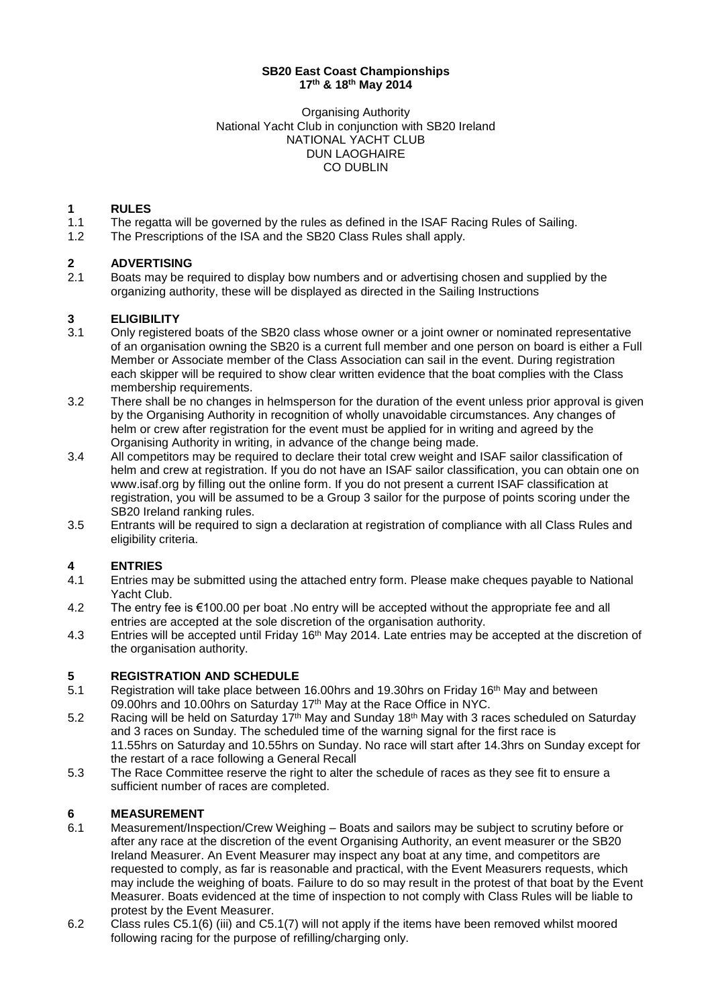#### **SB20 East Coast Championships 17th & 18th May 2014**

Organising Authority National Yacht Club in conjunction with SB20 Ireland NATIONAL YACHT CLUB DUN LAOGHAIRE CO DUBLIN

#### **1 RULES**

- 1.1 The regatta will be governed by the rules as defined in the ISAF Racing Rules of Sailing.
- 1.2 The Prescriptions of the ISA and the SB20 Class Rules shall apply.

# **2 ADVERTISING**

Boats may be required to display bow numbers and or advertising chosen and supplied by the organizing authority, these will be displayed as directed in the Sailing Instructions

#### **3 ELIGIBILITY**

- 3.1 Only registered boats of the SB20 class whose owner or a joint owner or nominated representative of an organisation owning the SB20 is a current full member and one person on board is either a Full Member or Associate member of the Class Association can sail in the event. During registration each skipper will be required to show clear written evidence that the boat complies with the Class membership requirements.
- 3.2 There shall be no changes in helmsperson for the duration of the event unless prior approval is given by the Organising Authority in recognition of wholly unavoidable circumstances. Any changes of helm or crew after registration for the event must be applied for in writing and agreed by the Organising Authority in writing, in advance of the change being made.
- 3.4 All competitors may be required to declare their total crew weight and ISAF sailor classification of helm and crew at registration. If you do not have an ISAF sailor classification, you can obtain one on www.isaf.org by filling out the online form. If you do not present a current ISAF classification at registration, you will be assumed to be a Group 3 sailor for the purpose of points scoring under the SB20 Ireland ranking rules.
- 3.5 Entrants will be required to sign a declaration at registration of compliance with all Class Rules and eligibility criteria.

#### **4 ENTRIES**

- 4.1 Entries may be submitted using the attached entry form. Please make cheques payable to National Yacht Club.
- 4.2 The entry fee is €100.00 per boat .No entry will be accepted without the appropriate fee and all entries are accepted at the sole discretion of the organisation authority.
- 4.3 Entries will be accepted until Friday 16<sup>th</sup> May 2014. Late entries may be accepted at the discretion of the organisation authority.

#### **5 REGISTRATION AND SCHEDULE**

- 5.1 Registration will take place between 16.00hrs and 19.30hrs on Friday 16<sup>th</sup> May and between 09.00hrs and 10.00hrs on Saturday 17<sup>th</sup> May at the Race Office in NYC.
- 5.2 Racing will be held on Saturday 17<sup>th</sup> May and Sunday 18<sup>th</sup> May with 3 races scheduled on Saturday and 3 races on Sunday. The scheduled time of the warning signal for the first race is 11.55hrs on Saturday and 10.55hrs on Sunday. No race will start after 14.3hrs on Sunday except for the restart of a race following a General Recall
- 5.3 The Race Committee reserve the right to alter the schedule of races as they see fit to ensure a sufficient number of races are completed.

#### **6 MEASUREMENT**

- 6.1 Measurement/Inspection/Crew Weighing Boats and sailors may be subject to scrutiny before or after any race at the discretion of the event Organising Authority, an event measurer or the SB20 Ireland Measurer. An Event Measurer may inspect any boat at any time, and competitors are requested to comply, as far is reasonable and practical, with the Event Measurers requests, which may include the weighing of boats. Failure to do so may result in the protest of that boat by the Event Measurer. Boats evidenced at the time of inspection to not comply with Class Rules will be liable to protest by the Event Measurer.
- 6.2 Class rules C5.1(6) (iii) and C5.1(7) will not apply if the items have been removed whilst moored following racing for the purpose of refilling/charging only.